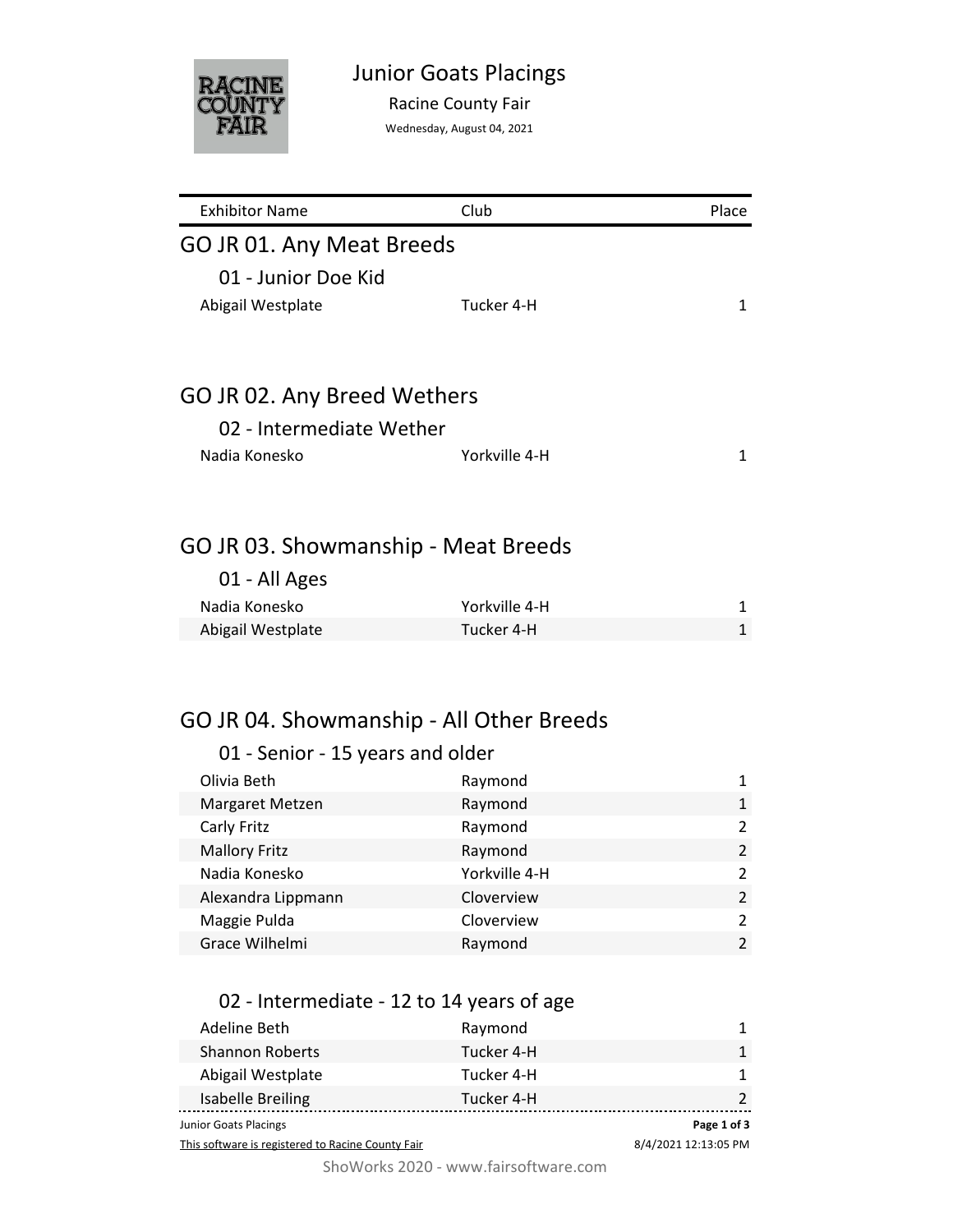

Racine County Fair

Wednesday, August 04, 2021

| <b>Exhibitor Name</b>                    | Club          | Place          |
|------------------------------------------|---------------|----------------|
| GO JR 01. Any Meat Breeds                |               |                |
| 01 - Junior Doe Kid                      |               |                |
|                                          | Tucker 4-H    | $\mathbf{1}$   |
| Abigail Westplate                        |               |                |
|                                          |               |                |
| GO JR 02. Any Breed Wethers              |               |                |
| 02 - Intermediate Wether                 |               |                |
| Nadia Konesko                            | Yorkville 4-H | 1              |
|                                          |               |                |
|                                          |               |                |
| GO JR 03. Showmanship - Meat Breeds      |               |                |
| 01 - All Ages                            |               |                |
| Nadia Konesko                            | Yorkville 4-H | 1              |
| Abigail Westplate                        | Tucker 4-H    | $\mathbf{1}$   |
|                                          |               |                |
|                                          |               |                |
| GO JR 04. Showmanship - All Other Breeds |               |                |
|                                          |               |                |
| 01 - Senior - 15 years and older         |               |                |
| Olivia Beth                              | Raymond       | 1              |
| Margaret Metzen                          | Raymond       | $\mathbf{1}$   |
| Carly Fritz                              | Raymond       | $\overline{2}$ |
| <b>Mallory Fritz</b>                     | Raymond       | $\overline{2}$ |
| Nadia Konesko                            | Yorkville 4-H | $\overline{2}$ |
| Alexandra Lippmann                       | Cloverview    | $\overline{2}$ |
| Maggie Pulda                             | Cloverview    | $\overline{2}$ |
| Grace Wilhelmi                           | Raymond       | $\overline{2}$ |
|                                          |               |                |

## 02 - Intermediate - 12 to 14 years of age

| Junior Goats Placings  |            | Page 1 of 3 |
|------------------------|------------|-------------|
| Isabelle Breiling      | Tucker 4-H |             |
| Abigail Westplate      | Tucker 4-H |             |
| <b>Shannon Roberts</b> | Tucker 4-H | 1           |
| Adeline Beth           | Raymond    |             |

This software is registered to Racine County Fair

8/4/2021 12:13:05 PM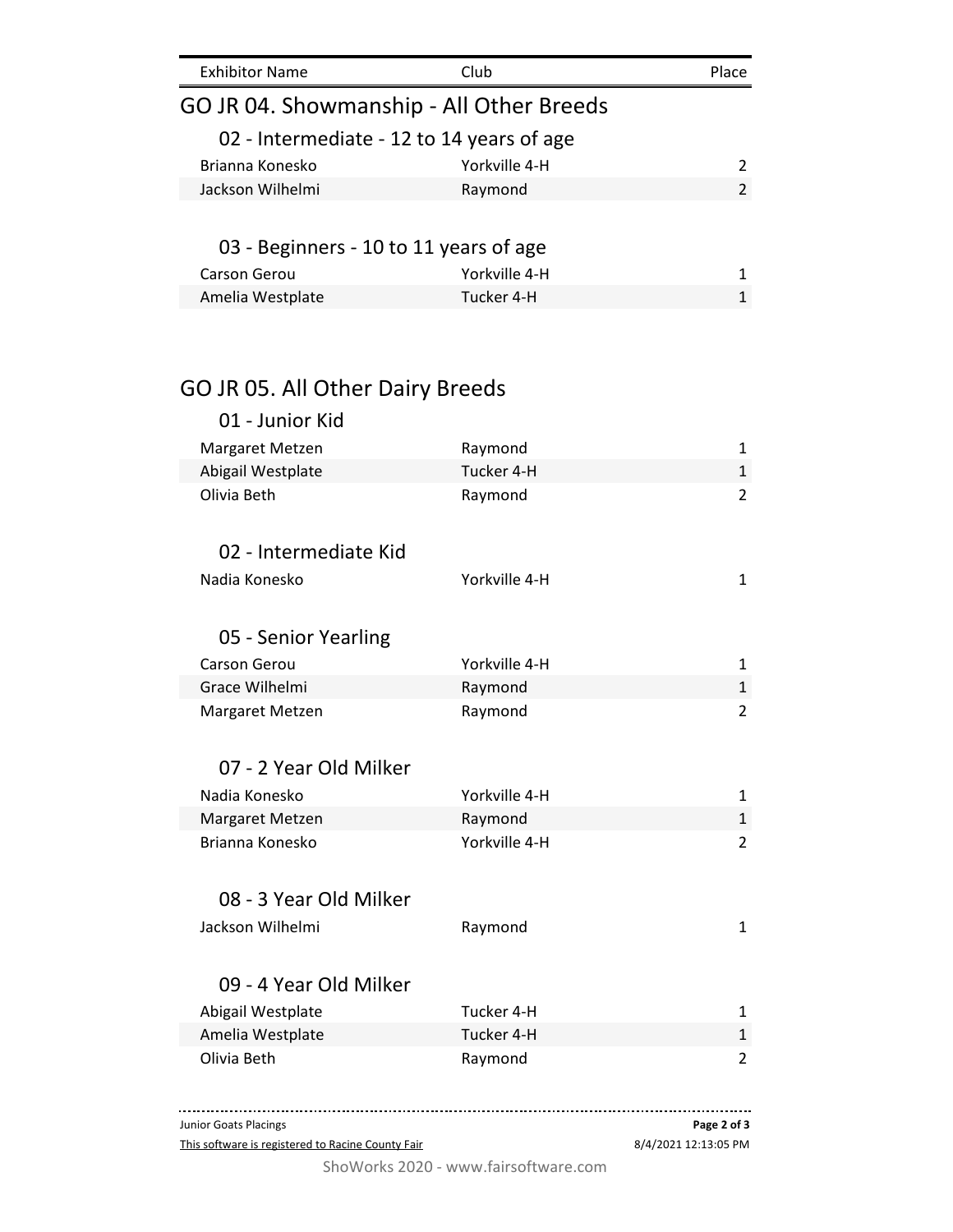| <b>Exhibitor Name</b>                     | Club          | Place         |
|-------------------------------------------|---------------|---------------|
| GO JR 04. Showmanship - All Other Breeds  |               |               |
| 02 - Intermediate - 12 to 14 years of age |               |               |
| Brianna Konesko                           | Yorkville 4-H |               |
| Jackson Wilhelmi                          | Raymond       | $\mathcal{P}$ |
|                                           |               |               |
| 03 - Beginners - 10 to 11 years of age    |               |               |
| <b>Carson Gerou</b>                       | Yorkville 4-H |               |
| Amelia Westplate                          | Tucker 4-H    |               |
|                                           |               |               |
|                                           |               |               |

## GO JR 05. All Other Dairy Breeds

| 01 - Junior Kid        |               |                         |
|------------------------|---------------|-------------------------|
| Margaret Metzen        | Raymond       | $\mathbf{1}$            |
| Abigail Westplate      | Tucker 4-H    | $\mathbf{1}$            |
| Olivia Beth            | Raymond       | $\overline{2}$          |
| 02 - Intermediate Kid  |               |                         |
| Nadia Konesko          | Yorkville 4-H | $\mathbf{1}$            |
| 05 - Senior Yearling   |               |                         |
| <b>Carson Gerou</b>    | Yorkville 4-H | 1                       |
| Grace Wilhelmi         | Raymond       | $\mathbf{1}$            |
| Margaret Metzen        | Raymond       | $\overline{\mathbf{c}}$ |
| 07 - 2 Year Old Milker |               |                         |
| Nadia Konesko          | Yorkville 4-H | 1                       |
| Margaret Metzen        | Raymond       | $\mathbf{1}$            |
| Brianna Konesko        | Yorkville 4-H | $\overline{a}$          |
| 08 - 3 Year Old Milker |               |                         |
| Jackson Wilhelmi       | Raymond       | $\mathbf{1}$            |
| 09 - 4 Year Old Milker |               |                         |
| Abigail Westplate      | Tucker 4-H    | $\mathbf{1}$            |
| Amelia Westplate       | Tucker 4-H    | $\mathbf{1}$            |
| Olivia Beth            | Raymond       | $\overline{c}$          |
|                        |               |                         |

This software is registered to Racine County Fair Junior Goats Placings 8/4/2021 12:13:05 PM **Page 2 of 3**

ShoWorks 2020 - www.fairsoftware.com